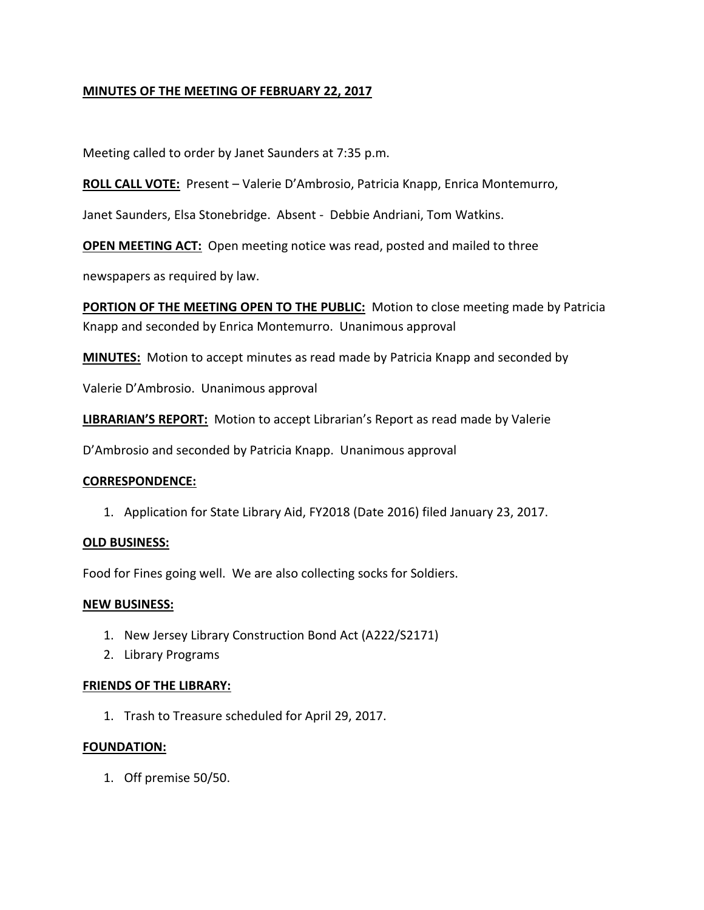# **MINUTES OF THE MEETING OF FEBRUARY 22, 2017**

Meeting called to order by Janet Saunders at 7:35 p.m.

**ROLL CALL VOTE:** Present – Valerie D'Ambrosio, Patricia Knapp, Enrica Montemurro,

Janet Saunders, Elsa Stonebridge. Absent - Debbie Andriani, Tom Watkins.

**OPEN MEETING ACT:** Open meeting notice was read, posted and mailed to three

newspapers as required by law.

**PORTION OF THE MEETING OPEN TO THE PUBLIC:** Motion to close meeting made by Patricia Knapp and seconded by Enrica Montemurro. Unanimous approval

**MINUTES:** Motion to accept minutes as read made by Patricia Knapp and seconded by

Valerie D'Ambrosio. Unanimous approval

**LIBRARIAN'S REPORT:** Motion to accept Librarian's Report as read made by Valerie

D'Ambrosio and seconded by Patricia Knapp. Unanimous approval

### **CORRESPONDENCE:**

1. Application for State Library Aid, FY2018 (Date 2016) filed January 23, 2017.

### **OLD BUSINESS:**

Food for Fines going well. We are also collecting socks for Soldiers.

### **NEW BUSINESS:**

- 1. New Jersey Library Construction Bond Act (A222/S2171)
- 2. Library Programs

### **FRIENDS OF THE LIBRARY:**

1. Trash to Treasure scheduled for April 29, 2017.

### **FOUNDATION:**

1. Off premise 50/50.